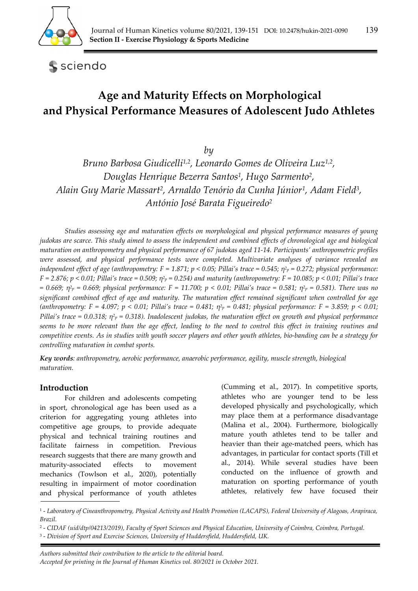

**S** sciendo

# **Age and Maturity Effects on Morphological and Physical Performance Measures of Adolescent Judo Athletes**

*by* 

*Bruno Barbosa Giudicelli1,2, Leonardo Gomes de Oliveira Luz1,2, Douglas Henrique Bezerra Santos1, Hugo Sarmento2, Alain Guy Marie Massart2, Arnaldo Tenório da Cunha Júnior1, Adam Field3, António José Barata Figueiredo2*

*Studies assessing age and maturation effects on morphological and physical performance measures of young judokas are scarce. This study aimed to assess the independent and combined effects of chronological age and biological maturation on anthropometry and physical performance of 67 judokas aged 11-14. Participants' anthropometric profiles were assessed, and physical performance tests were completed. Multivariate analyses of variance revealed an independent effect of age (anthropometry: F = 1.871; p < 0.05; Pillai's trace = 0.545;*  $\eta^2 p = 0.272$ *; physical performance: F = 2.876; p < 0.01; Pillai's trace = 0.509; η2p = 0.254) and maturity (anthropometry: F = 10.085; p < 0.01; Pillai's trace = 0.669; η2p = 0.669; physical performance: F = 11.700; p < 0.01; Pillai's trace = 0.581; η2p = 0.581). There was no significant combined effect of age and maturity. The maturation effect remained significant when controlled for age*  (anthropometry: F = 4.097; p < 0.01; Pillai's trace = 0.481;  $\eta^2 p = 0.481$ ; physical performance: F = 3.859; p < 0.01; *Pillai's trace = 0.0.318; η2p = 0.318). Inadolescent judokas, the maturation effect on growth and physical performance seems to be more relevant than the age effect, leading to the need to control this effect in training routines and competitive events. As in studies with youth soccer players and other youth athletes, bio-banding can be a strategy for controlling maturation in combat sports.* 

*Key words: anthropometry, aerobic performance, anaerobic performance, agility, muscle strength, biological maturation.* 

## **Introduction**

For children and adolescents competing in sport, chronological age has been used as a criterion for aggregating young athletes into competitive age groups, to provide adequate physical and technical training routines and facilitate fairness in competition. Previous research suggests that there are many growth and maturity-associated effects to movement mechanics (Towlson et al., 2020), potentially resulting in impairment of motor coordination and physical performance of youth athletes (Cumming et al., 2017). In competitive sports, athletes who are younger tend to be less developed physically and psychologically, which may place them at a performance disadvantage (Malina et al., 2004). Furthermore, biologically mature youth athletes tend to be taller and heavier than their age-matched peers, which has advantages, in particular for contact sports (Till et al., 2014). While several studies have been conducted on the influence of growth and maturation on sporting performance of youth athletes, relatively few have focused their

 *Authors submitted their contribution to the article to the editorial board. Accepted for printing in the Journal of Human Kinetics vol. 80/2021 in October 2021.* 

<sup>1 -</sup> *Laboratory of Cineanthropometry, Physical Activity and Health Promotion (LACAPS), Federal University of Alagoas, Arapiraca, Brazil.* 

<sup>2 -</sup> *CIDAF (uid/dtp/04213/2019), Faculty of Sport Sciences and Physical Education, University of Coimbra, Coimbra, Portugal.* 

<sup>3 -</sup> *Division of Sport and Exercise Sciences, University of Huddersfield, Huddersfield, UK.*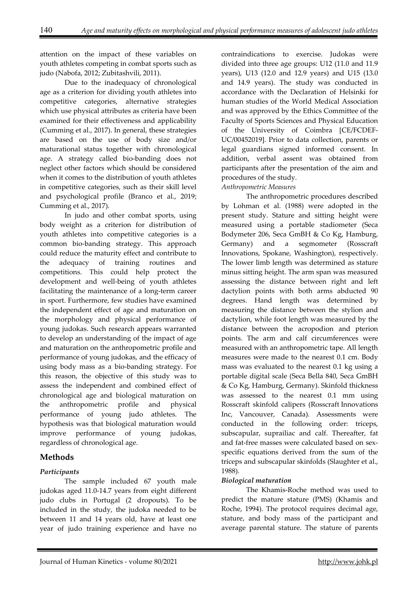attention on the impact of these variables on youth athletes competing in combat sports such as judo (Nabofa, 2012; Zubitashvili, 2011).

Due to the inadequacy of chronological age as a criterion for dividing youth athletes into competitive categories, alternative strategies which use physical attributes as criteria have been examined for their effectiveness and applicability (Cumming et al., 2017). In general, these strategies are based on the use of body size and/or maturational status together with chronological age. A strategy called bio-banding does not neglect other factors which should be considered when it comes to the distribution of youth athletes in competitive categories, such as their skill level and psychological profile (Branco et al., 2019; Cumming et al., 2017).

In judo and other combat sports, using body weight as a criterion for distribution of youth athletes into competitive categories is a common bio-banding strategy. This approach could reduce the maturity effect and contribute to the adequacy of training routines and competitions. This could help protect the development and well-being of youth athletes facilitating the maintenance of a long-term career in sport. Furthermore, few studies have examined the independent effect of age and maturation on the morphology and physical performance of young judokas. Such research appears warranted to develop an understanding of the impact of age and maturation on the anthropometric profile and performance of young judokas, and the efficacy of using body mass as a bio-banding strategy. For this reason, the objective of this study was to assess the independent and combined effect of chronological age and biological maturation on the anthropometric profile and physical performance of young judo athletes. The hypothesis was that biological maturation would improve performance of young judokas, regardless of chronological age.

# **Methods**

## *Participants*

The sample included 67 youth male judokas aged 11.0-14.7 years from eight different judo clubs in Portugal (2 dropouts). To be included in the study, the judoka needed to be between 11 and 14 years old, have at least one year of judo training experience and have no contraindications to exercise. Judokas were divided into three age groups: U12 (11.0 and 11.9 years), U13 (12.0 and 12.9 years) and U15 (13.0 and 14.9 years). The study was conducted in accordance with the Declaration of Helsinki for human studies of the World Medical Association and was approved by the Ethics Committee of the Faculty of Sports Sciences and Physical Education of the University of Coimbra [CE/FCDEF-UC/00452019]. Prior to data collection, parents or legal guardians signed informed consent. In addition, verbal assent was obtained from participants after the presentation of the aim and procedures of the study.

## *Anthropometric Measures*

The anthropometric procedures described by Lohman et al. (1988) were adopted in the present study. Stature and sitting height were measured using a portable stadiometer (Seca Bodymeter 206, Seca GmBH & Co Kg, Hamburg, Germany) and a segmometer (Rosscraft Innovations, Spokane, Washington), respectively. The lower limb length was determined as stature minus sitting height. The arm span was measured assessing the distance between right and left dactylion points with both arms abducted 90 degrees. Hand length was determined by measuring the distance between the stylion and dactylion, while foot length was measured by the distance between the acropodion and pterion points. The arm and calf circumferences were measured with an anthropometric tape. All length measures were made to the nearest 0.1 cm. Body mass was evaluated to the nearest 0.1 kg using a portable digital scale (Seca Bella 840, Seca GmBH & Co Kg, Hamburg, Germany). Skinfold thickness was assessed to the nearest 0.1 mm using Rosscraft skinfold calipers (Rosscraft Innovations Inc, Vancouver, Canada). Assessments were conducted in the following order: triceps, subscapular, suprailiac and calf. Thereafter, fat and fat-free masses were calculated based on sexspecific equations derived from the sum of the triceps and subscapular skinfolds (Slaughter et al., 1988).

## *Biological maturation*

The Khamis-Roche method was used to predict the mature stature (PMS) (Khamis and Roche, 1994). The protocol requires decimal age, stature, and body mass of the participant and average parental stature. The stature of parents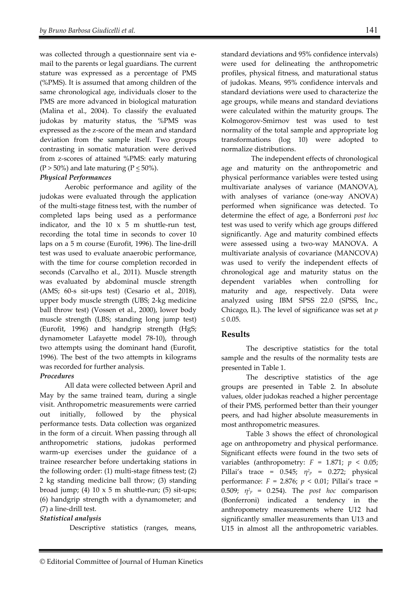was collected through a questionnaire sent via email to the parents or legal guardians. The current stature was expressed as a percentage of PMS (%PMS). It is assumed that among children of the same chronological age, individuals closer to the PMS are more advanced in biological maturation (Malina et al., 2004). To classify the evaluated judokas by maturity status, the %PMS was expressed as the z-score of the mean and standard deviation from the sample itself. Two groups contrasting in somatic maturation were derived from z-scores of attained %PMS: early maturing  $(P > 50\%)$  and late maturing  $(P \le 50\%).$ 

#### *Physical Performances*

Aerobic performance and agility of the judokas were evaluated through the application of the multi-stage fitness test, with the number of completed laps being used as a performance indicator, and the  $10 \times 5$  m shuttle-run test, recording the total time in seconds to cover 10 laps on a 5 m course (Eurofit, 1996). The line-drill test was used to evaluate anaerobic performance, with the time for course completion recorded in seconds (Carvalho et al., 2011). Muscle strength was evaluated by abdominal muscle strength (AMS; 60-s sit-ups test) (Cesario et al., 2018), upper body muscle strength (UBS; 2-kg medicine ball throw test) (Vossen et al., 2000), lower body muscle strength (LBS; standing long jump test) (Eurofit, 1996) and handgrip strength (HgS; dynamometer Lafayette model 78-10), through two attempts using the dominant hand (Eurofit, 1996). The best of the two attempts in kilograms was recorded for further analysis.

#### *Procedures*

All data were collected between April and May by the same trained team, during a single visit. Anthropometric measurements were carried out initially, followed by the physical performance tests. Data collection was organized in the form of a circuit. When passing through all anthropometric stations, judokas performed warm-up exercises under the guidance of a trainee researcher before undertaking stations in the following order: (1) multi-stage fitness test; (2) 2 kg standing medicine ball throw; (3) standing broad jump; (4)  $10 \times 5$  m shuttle-run; (5) sit-ups; (6) handgrip strength with a dynamometer; and (7) a line-drill test.

#### *Statistical analysis*

Descriptive statistics (ranges, means,

standard deviations and 95% confidence intervals) were used for delineating the anthropometric profiles, physical fitness, and maturational status of judokas. Means, 95% confidence intervals and standard deviations were used to characterize the age groups, while means and standard deviations were calculated within the maturity groups. The Kolmogorov-Smirnov test was used to test normality of the total sample and appropriate log transformations (log 10) were adopted to normalize distributions.

The independent effects of chronological age and maturity on the anthropometric and physical performance variables were tested using multivariate analyses of variance (MANOVA), with analyses of variance (one-way ANOVA) performed when significance was detected. To determine the effect of age, a Bonferroni *post hoc* test was used to verify which age groups differed significantly. Age and maturity combined effects were assessed using a two-way MANOVA. A multivariate analysis of covariance (MANCOVA) was used to verify the independent effects of chronological age and maturity status on the dependent variables when controlling for maturity and age, respectively. Data were analyzed using IBM SPSS 22.0 (SPSS, Inc., Chicago, IL). The level of significance was set at *p*   $≤ 0.05.$ 

## **Results**

The descriptive statistics for the total sample and the results of the normality tests are presented in Table 1.

The descriptive statistics of the age groups are presented in Table 2. In absolute values, older judokas reached a higher percentage of their PMS, performed better than their younger peers, and had higher absolute measurements in most anthropometric measures.

Table 3 shows the effect of chronological age on anthropometry and physical performance. Significant effects were found in the two sets of variables (anthropometry:  $F = 1.871$ ;  $p < 0.05$ ; Pillai's trace = 0.545; *η2p* = 0.272; physical performance:  $F = 2.876$ ;  $p < 0.01$ ; Pillai's trace = 0.509;  $\eta^2 p = 0.254$ ). The *post hoc* comparison (Bonferroni) indicated a tendency in the anthropometry measurements where U12 had significantly smaller measurements than U13 and U15 in almost all the anthropometric variables.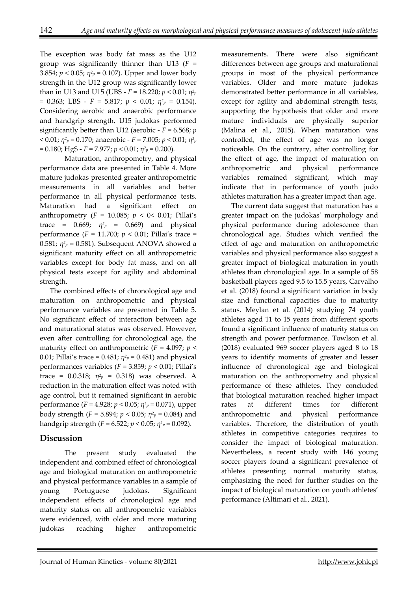The exception was body fat mass as the U12 group was significantly thinner than U13 (*F* = 3.854;  $p < 0.05$ ;  $\eta^2 p = 0.107$ ). Upper and lower body strength in the U12 group was significantly lower than in U13 and U15 (UBS - *F* = 18.220; *p* < 0.01; *η2p*  $= 0.363$ ; LBS - *F* = 5.817; *p* < 0.01;  $\eta^2 p = 0.154$ . Considering aerobic and anaerobic performance and handgrip strength, U15 judokas performed significantly better than U12 (aerobic - *F* = 6.568; *p*  $(6.01; \eta^2)^p = 0.170$ ; anaerobic - *F* = 7.005; *p* < 0.01;  $\eta^2$ <sub>*p*</sub>  $= 0.180$ ; HgS - *F* = 7.977; *p* < 0.01;  $\eta^2 p = 0.200$ .

Maturation, anthropometry, and physical performance data are presented in Table 4. More mature judokas presented greater anthropometric measurements in all variables and better performance in all physical performance tests. Maturation had a significant effect on anthropometry  $(F = 10.085; p < 0 < 0.01; \text{ Pillai's})$ trace =  $0.669$ ;  $\eta^2 p = 0.669$  and physical performance (*F* = 11.700; *p* < 0.01; Pillai's trace = 0.581;  $\eta^2 p = 0.581$ ). Subsequent ANOVA showed a significant maturity effect on all anthropometric variables except for body fat mass, and on all physical tests except for agility and abdominal strength.

The combined effects of chronological age and maturation on anthropometric and physical performance variables are presented in Table 5. No significant effect of interaction between age and maturational status was observed. However, even after controlling for chronological age, the maturity effect on anthropometric  $(F = 4.097; p <$ 0.01; Pillai's trace = 0.481;  $\eta^2 p = 0.481$ ) and physical performances variables (*F* = 3.859; *p* < 0.01; Pillai's trace =  $0.0.318$ ;  $\eta^2 p = 0.318$ ) was observed. A reduction in the maturation effect was noted with age control, but it remained significant in aerobic performance (*F* = 4.928; *p* < 0.05; *η2p* = 0.071), upper body strength ( $F = 5.894$ ;  $p < 0.05$ ;  $\eta^2 p = 0.084$ ) and handgrip strength ( $F = 6.522$ ;  $p < 0.05$ ;  $\eta^2 p = 0.092$ ).

# **Discussion**

The present study evaluated the independent and combined effect of chronological age and biological maturation on anthropometric and physical performance variables in a sample of young Portuguese judokas. Significant independent effects of chronological age and maturity status on all anthropometric variables were evidenced, with older and more maturing judokas reaching higher anthropometric

measurements. There were also significant differences between age groups and maturational groups in most of the physical performance variables. Older and more mature judokas demonstrated better performance in all variables, except for agility and abdominal strength tests, supporting the hypothesis that older and more mature individuals are physically superior (Malina et al., 2015). When maturation was controlled, the effect of age was no longer noticeable. On the contrary, after controlling for the effect of age, the impact of maturation on anthropometric and physical performance variables remained significant, which may indicate that in performance of youth judo athletes maturation has a greater impact than age.

The current data suggest that maturation has a greater impact on the judokas' morphology and physical performance during adolescence than chronological age. Studies which verified the effect of age and maturation on anthropometric variables and physical performance also suggest a greater impact of biological maturation in youth athletes than chronological age. In a sample of 58 basketball players aged 9.5 to 15.5 years, Carvalho et al. (2018) found a significant variation in body size and functional capacities due to maturity status. Meylan et al. (2014) studying 74 youth athletes aged 11 to 15 years from different sports found a significant influence of maturity status on strength and power performance. Towlson et al. (2018) evaluated 969 soccer players aged 8 to 18 years to identify moments of greater and lesser influence of chronological age and biological maturation on the anthropometry and physical performance of these athletes. They concluded that biological maturation reached higher impact rates at different times for different anthropometric and physical performance variables. Therefore, the distribution of youth athletes in competitive categories requires to consider the impact of biological maturation. Nevertheless, a recent study with 146 young soccer players found a significant prevalence of athletes presenting normal maturity status, emphasizing the need for further studies on the impact of biological maturation on youth athletes' performance (Altimari et al., 2021).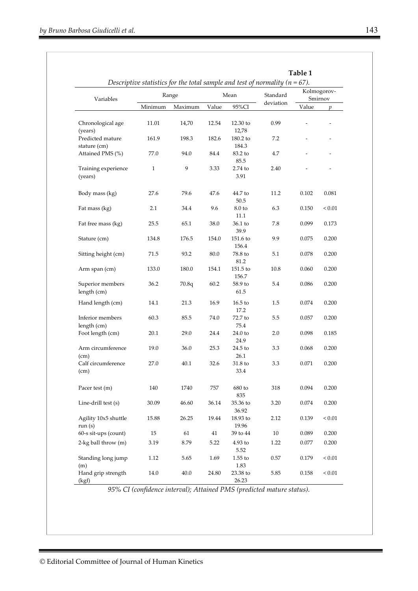|                                  |              |          |       |                     | Descriptive statistics for the total sample and test of normality ( $n = 67$ ). |                          |                |
|----------------------------------|--------------|----------|-------|---------------------|---------------------------------------------------------------------------------|--------------------------|----------------|
| Variables                        |              | Range    |       | Mean                | Standard                                                                        | Kolmogorov-<br>Smirnov   |                |
|                                  | Minimum      | Maximum  | Value | 95%CI               | deviation                                                                       | Value                    | $\mathfrak{p}$ |
| Chronological age<br>(years)     | 11.01        | 14,70    | 12.54 | $12.30$ to<br>12,78 | 0.99                                                                            |                          |                |
| Predicted mature<br>stature (cm) | 161.9        | 198.3    | 182.6 | $180.2$ to<br>184.3 | 7.2                                                                             | $\overline{\phantom{a}}$ |                |
| Attained PMS (%)                 | 77.0         | 94.0     | 84.4  | 83.2 to<br>85.5     | 4.7                                                                             | ä,                       |                |
| Training experience<br>(years)   | $\mathbf{1}$ | 9        | 3.33  | 2.74 to<br>3.91     | 2.40                                                                            |                          |                |
| Body mass (kg)                   | 27.6         | 79.6     | 47.6  | 44.7 to<br>50.5     | 11.2                                                                            | 0.102                    | 0.081          |
| Fat mass (kg)                    | 2.1          | 34.4     | 9.6   | 8.0 to<br>11.1      | 6.3                                                                             | 0.150                    | ${}_{0.01}$    |
| Fat free mass (kg)               | 25.5         | 65.1     | 38.0  | 36.1 to<br>39.9     | 7.8                                                                             | 0.099                    | 0.173          |
| Stature (cm)                     | 134.8        | 176.5    | 154.0 | $151.6$ to<br>156.4 | 9.9                                                                             | 0.075                    | 0.200          |
| Sitting height (cm)              | 71.5         | 93.2     | 80.0  | 78.8 to<br>81.2     | 5.1                                                                             | 0.078                    | 0.200          |
| Arm span (cm)                    | 133.0        | 180.0    | 154.1 | $151.5$ to<br>156.7 | 10.8                                                                            | 0.060                    | 0.200          |
| Superior members<br>length (cm)  | 36.2         | 70.8q    | 60.2  | 58.9 to<br>61.5     | 5.4                                                                             | 0.086                    | 0.200          |
| Hand length (cm)                 | 14.1         | 21.3     | 16.9  | $16.5$ to<br>17.2   | 1.5                                                                             | 0.074                    | 0.200          |
| Inferior members<br>length (cm)  | 60.3         | 85.5     | 74.0  | 72.7 to<br>75.4     | 5.5                                                                             | 0.057                    | 0.200          |
| Foot length (cm)                 | 20.1         | 29.0     | 24.4  | 24.0 to<br>24.9     | 2.0                                                                             | 0.098                    | 0.185          |
| Arm circumference<br>(cm)        | 19.0         | 36.0     | 25.3  | 24.5 to<br>26.1     | 3.3                                                                             | 0.068                    | 0.200          |
| Calf circumference<br>(cm)       | 27.0         | 40.1     | 32.6  | 31.8 to<br>33.4     | 3.3                                                                             | 0.071                    | 0.200          |
| Pacer test (m)                   | 140          | 1740     | 757   | 680 to<br>835       | 318                                                                             | 0.094                    | 0.200          |
| Line-drill test (s)              | 30.09        | 46.60    | 36.14 | 35.36 to<br>36.92   | 3.20                                                                            | 0.074                    | 0.200          |
| Agility 10x5 shuttle<br>run(s)   | 15.88        | 26.25    | 19.44 | 18.93 to<br>19.96   | 2.12                                                                            | 0.139                    | ${}_{< 0.01}$  |
| 60-s sit-ups (count)             | 15           | 61       | 41    | 39 to 44            | $10\,$                                                                          | 0.089                    | 0.200          |
| 2-kg ball throw (m)              | 3.19         | 8.79     | 5.22  | $4.93$ to<br>5.52   | 1.22                                                                            | 0.077                    | 0.200          |
| Standing long jump<br>(m)        | 1.12         | 5.65     | 1.69  | $1.55$ to<br>1.83   | 0.57                                                                            | 0.179                    | $< 0.01$       |
| Hand grip strength<br>(kgf)      | 14.0         | $40.0\,$ | 24.80 | 23.38 to<br>26.23   | 5.85                                                                            | 0.158                    | $< 0.01$       |

*95% CI (confidence interval); Attained PMS (predicted mature status).*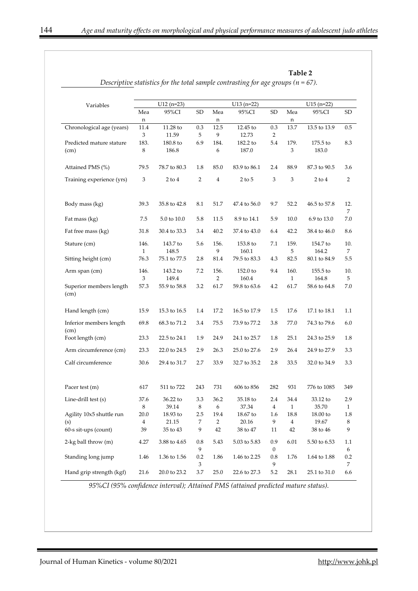**Table 2** 

| Variables                       | $U12(n=23)$             |              |                | $U13(n=22)$    |              |                         | $U15$ (n=22)            |                    |                         |  |
|---------------------------------|-------------------------|--------------|----------------|----------------|--------------|-------------------------|-------------------------|--------------------|-------------------------|--|
|                                 | Mea                     | 95%CI        | SD             | Mea            | 95%CI        | SD                      | Mea                     | 95%CI              | SD                      |  |
|                                 | n                       |              |                | n              |              |                         | n                       |                    |                         |  |
| Chronological age (years)       | 11.4                    | 11.28 to     | $0.3\,$        | 12.5           | 12.45 to     | 0.3                     | 13.7                    | 13.5 to 13.9       | 0.5                     |  |
|                                 | 3                       | 11.59        | 5              | 9              | 12.73        | $\overline{2}$          |                         |                    |                         |  |
| Predicted mature stature        | 183.                    | 180.8 to     | 6.9            | 184.           | 182.2 to     | 5.4                     | 179.                    | $175.5$ to         | 8.3                     |  |
| (cm)                            | 8                       | 186.8        |                | 6              | 187.0        |                         | 3                       | 183.0              |                         |  |
| Attained PMS (%)                | 79.5                    | 78.7 to 80.3 | 1.8            | 85.0           | 83.9 to 86.1 | 2.4                     | 88.9                    | 87.3 to 90.5       | 3.6                     |  |
| Training experience (yrs)       | 3                       | $2$ to $4$   | $\overline{2}$ | $\overline{4}$ | $2$ to $5$   | 3                       | 3                       | $2$ to $4$         | $\overline{2}$          |  |
| Body mass (kg)                  | 39.3                    | 35.8 to 42.8 | 8.1            | 51.7           | 47.4 to 56.0 | 9.7                     | 52.2                    | 46.5 to 57.8       | 12.                     |  |
| Fat mass (kg)                   | 7.5                     | 5.0 to 10.0  | 5.8            | 11.5           | 8.9 to 14.1  | 5.9                     | 10.0                    | $6.9$ to $13.0\,$  | 7<br>7.0                |  |
| Fat free mass (kg)              | 31.8                    | 30.4 to 33.3 | 3.4            | 40.2           | 37.4 to 43.0 | 6.4                     | 42.2                    | 38.4 to 46.0       | 8.6                     |  |
| Stature (cm)                    | 146.                    | 143.7 to     | 5.6            | 156.           | 153.8 to     | 7.1                     | 159.                    | 154.7 to           | 10.                     |  |
|                                 | $\mathbf{1}$            | 148.5        |                | 9              | 160.1        |                         | 5                       | 164.2              | 7                       |  |
| Sitting height (cm)             | 76.3                    | 75.1 to 77.5 | 2.8            | 81.4           | 79.5 to 83.3 | 4.3                     | 82.5                    | 80.1 to 84.9       | 5.5                     |  |
| Arm span (cm)                   | 146.                    | 143.2 to     | 7.2            | 156.           | 152.0 to     | 9.4                     | 160.                    | $155.5$ to         | 10.                     |  |
|                                 | 3                       | 149.4        |                | $\overline{2}$ | 160.4        |                         | 1                       | 164.8              | 5                       |  |
| Superior members length<br>(cm) | 57.3                    | 55.9 to 58.8 | 3.2            | 61.7           | 59.8 to 63.6 | 4.2                     | 61.7                    | 58.6 to 64.8       | 7.0                     |  |
| Hand length (cm)                | 15.9                    | 15.3 to 16.5 | 1.4            | 17.2           | 16.5 to 17.9 | 1.5                     | 17.6                    | 17.1 to 18.1       | 1.1                     |  |
| Inferior members length         | 69.8                    | 68.3 to 71.2 | 3.4            | 75.5           | 73.9 to 77.2 | 3.8                     | 77.0                    | 74.3 to 79.6       | 6.0                     |  |
| (cm)<br>Foot length (cm)        | 23.3                    | 22.5 to 24.1 | 1.9            | 24.9           | 24.1 to 25.7 | 1.8                     | 25.1                    | 24.3 to 25.9       | 1.8                     |  |
| Arm circumference (cm)          | 23.3                    | 22.0 to 24.5 | 2.9            | 26.3           | 25.0 to 27.6 | 2.9                     | 26.4                    | 24.9 to 27.9       | 3.3                     |  |
| Calf circumference              | 30.6                    | 29.4 to 31.7 | 2.7            | 33.9           | 32.7 to 35.2 | 2.8                     | 33.5                    | 32.0 to 34.9       | 3.3                     |  |
| Pacer test (m)                  | 617                     | 511 to 722   | 243            | 731            | 606 to 856   | 282                     | 931                     | 776 to 1085        | 349                     |  |
|                                 |                         |              |                |                |              |                         |                         |                    |                         |  |
| Line-drill test (s)             | 37.6                    | 36.22 to     | 3.3            | 36.2           | 35.18 to     | 2.4                     | 34.4                    | 33.12 to           | 2.9                     |  |
|                                 | 8                       | 39.14        | 8              | 6              | 37.34        | 4                       | 1                       | 35.70              | $\mathbf{I}$            |  |
| Agility 10x5 shuttle run        | 20.0                    | 18.93 to     | 2.5            | 19.4           | 18.67 to     | 1.6                     | 18.8                    | 18.00 to           | 1.8                     |  |
| (s)                             | $\overline{\mathbf{4}}$ | 21.15        | 7              | $\overline{2}$ | 20.16        | 9                       | $\overline{\mathbf{4}}$ | 19.67              | $\,8\,$                 |  |
| 60-s sit-ups (count)            | 39                      | 35 to 43     | 9              | 42             | 38 to 47     | 11                      | 42                      | 38 to 46           | 9                       |  |
| 2-kg ball throw (m)             | 4.27                    | 3.88 to 4.65 | 0.8<br>9       | 5.43           | 5.03 to 5.83 | 0.9<br>$\boldsymbol{0}$ | 6.01                    | $5.50$ to $6.53\,$ | 1.1<br>$\boldsymbol{6}$ |  |
| Standing long jump              | 1.46                    | 1.36 to 1.56 | 0.2            | 1.86           | 1.46 to 2.25 | $0.8\,$                 | 1.76                    | 1.64 to 1.88       | 0.2                     |  |
|                                 |                         |              | 3              |                |              | 9                       |                         |                    | 7                       |  |
| Hand grip strength (kgf)        | 21.6                    | 20.0 to 23.2 | 3.7            | 25.0           | 22.6 to 27.3 | 5.2                     | 28.1                    | 25.1 to 31.0       | 6.6                     |  |
|                                 |                         |              |                |                |              |                         |                         |                    |                         |  |

*Descriptive statistics for the total sample contrasting for age groups (n = 67).* 

*95%CI (95% confidence interval); Attained PMS (attained predicted mature status).*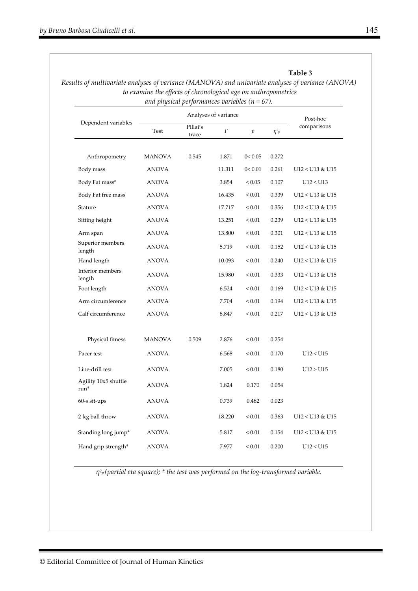|                                          | and physical performances variables ( $n = 67$ ). |                   | Analyses of variance |                  |            |                   |
|------------------------------------------|---------------------------------------------------|-------------------|----------------------|------------------|------------|-------------------|
| Dependent variables                      |                                                   | Post-hoc          |                      |                  |            |                   |
|                                          | Test                                              | Pillai's<br>trace | $\boldsymbol{F}$     | $\boldsymbol{p}$ | $\eta^2 p$ | comparisons       |
| Anthropometry                            | MANOVA                                            | 0.545             | 1.871                | 0 < 0.05         | 0.272      |                   |
| Body mass                                | ANOVA                                             |                   | 11.311               | 0 < 0.01         | 0.261      | $U12 < U13$ & U15 |
| Body Fat mass*                           | ANOVA                                             |                   | 3.854                | ${}_{< 0.05}$    | 0.107      | U12 < U13         |
| Body Fat free mass                       | ANOVA                                             |                   | 16.435               | ${}_{< 0.01}$    | 0.339      | U12 < U13 & U15   |
| Stature                                  | ANOVA                                             |                   | 17.717               | ${}_{< 0.01}$    | 0.356      | U12 < U13 & U15   |
| Sitting height                           | ANOVA                                             |                   | 13.251               | ${}_{< 0.01}$    | 0.239      | U12 < U13 & U15   |
| Arm span                                 | ANOVA                                             |                   | 13.800               | ${}_{< 0.01}$    | 0.301      | U12 < U13 & U15   |
| Superior members<br>length               | ANOVA                                             |                   | 5.719                | ${}_{0.01}$      | 0.152      | U12 < U13 & U15   |
| Hand length                              | ANOVA                                             |                   | 10.093               | ${}_{< 0.01}$    | 0.240      | U12 < U13 & U15   |
| Inferior members<br>length               | ANOVA                                             |                   | 15.980               | ${}_{< 0.01}$    | 0.333      | U12 < U13 & U15   |
| Foot length                              | ANOVA                                             |                   | 6.524                | ${}_{< 0.01}$    | 0.169      | U12 < U13 & U15   |
| Arm circumference                        | ANOVA                                             |                   | 7.704                | ${}_{0.01}$      | 0.194      | U12 < U13 & U15   |
| Calf circumference                       | ANOVA                                             |                   | 8.847                | ${}_{0.01}$      | 0.217      | U12 < U13 & U15   |
| Physical fitness                         | MANOVA                                            | 0.509             | 2.876                | ${}_{0.01}$      | 0.254      |                   |
| Pacer test                               | ANOVA                                             |                   | 6.568                | ${}_{< 0.01}$    | 0.170      | U12 < U15         |
| Line-drill test                          | <b>ANOVA</b>                                      |                   | 7.005                | ${}_{< 0.01}$    | 0.180      | U12 > U15         |
| Agility 10x5 shuttle<br>$\mathrm{run}^*$ | <b>ANOVA</b>                                      |                   | 1.824                | 0.170            | 0.054      |                   |
| 60-s sit-ups                             | <b>ANOVA</b>                                      |                   | 0.739                | 0.482            | 0.023      |                   |
| 2-kg ball throw                          | <b>ANOVA</b>                                      |                   | 18.220               | $\leq 0.01$      | 0.363      | U12 < U13 & U15   |
| Standing long jump*                      | <b>ANOVA</b>                                      |                   | 5.817                | ${}_{< 0.01}$    | 0.154      | U12 < U13 & U15   |
| Hand grip strength*                      | <b>ANOVA</b>                                      |                   | 7.977                | $< 0.01$         | 0.200      | U12 < U15         |

# **Table 3**  *Results of multivariate analyses of variance (MANOVA) and univariate analyses of variance (ANOVA)*

*η2p (partial eta square); \* the test was performed on the log-transformed variable.*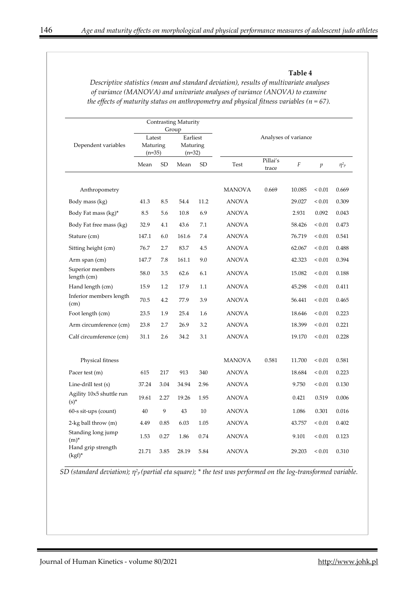#### **Table 4**

|                                     | Contrasting Maturity<br>Group  |           |                                  |           |                      |                   |        |                  |            |  |  |
|-------------------------------------|--------------------------------|-----------|----------------------------------|-----------|----------------------|-------------------|--------|------------------|------------|--|--|
| Dependent variables                 | Latest<br>Maturing<br>$(n=35)$ |           | Earliest<br>Maturing<br>$(n=32)$ |           | Analyses of variance |                   |        |                  |            |  |  |
|                                     | Mean                           | <b>SD</b> | Mean                             | <b>SD</b> | <b>Test</b>          | Pillai's<br>trace | F      | $\boldsymbol{p}$ | $\eta^2 p$ |  |  |
| Anthropometry                       |                                |           |                                  |           | <b>MANOVA</b>        | 0.669             | 10.085 | ${}_{0.01}$      | 0.669      |  |  |
| Body mass (kg)                      | 41.3                           | 8.5       | 54.4                             | 11.2      | <b>ANOVA</b>         |                   | 29.027 | ${}_{0.01}$      | 0.309      |  |  |
| Body Fat mass (kg)*                 | 8.5                            | 5.6       | 10.8                             | 6.9       | ANOVA                |                   | 2.931  | 0.092            | 0.043      |  |  |
| Body Fat free mass (kg)             | 32.9                           | 4.1       | 43.6                             | 7.1       | ANOVA                |                   | 58.426 | ${}_{0.01}$      | 0.473      |  |  |
| Stature (cm)                        | 147.1                          | 6.0       | 161.6                            | 7.4       | <b>ANOVA</b>         |                   | 76.719 | ${}_{< 0.01}$    | 0.541      |  |  |
| Sitting height (cm)                 | 76.7                           | 2.7       | 83.7                             | 4.5       | <b>ANOVA</b>         |                   | 62.067 | ${}_{0.01}$      | 0.488      |  |  |
| Arm span (cm)                       | 147.7                          | 7.8       | 161.1                            | 9.0       | <b>ANOVA</b>         |                   | 42.323 | ${}_{0.01}$      | 0.394      |  |  |
| Superior members<br>length (cm)     | 58.0                           | 3.5       | 62.6                             | 6.1       | <b>ANOVA</b>         |                   | 15.082 | ${}_{0.01}$      | 0.188      |  |  |
| Hand length (cm)                    | 15.9                           | 1.2       | 17.9                             | 1.1       | <b>ANOVA</b>         |                   | 45.298 | ${}_{0.01}$      | 0.411      |  |  |
| Inferior members length<br>(cm)     | 70.5                           | 4.2       | 77.9                             | 3.9       | <b>ANOVA</b>         |                   | 56.441 | ${}_{0.01}$      | 0.465      |  |  |
| Foot length (cm)                    | 23.5                           | 1.9       | 25.4                             | 1.6       | ANOVA                |                   | 18.646 | ${}_{0.01}$      | 0.223      |  |  |
| Arm circumference (cm)              | 23.8                           | 2.7       | 26.9                             | 3.2       | ANOVA                |                   | 18.399 | ${}_{0.01}$      | 0.221      |  |  |
| Calf circumference (cm)             | 31.1                           | 2.6       | 34.2                             | 3.1       | ANOVA                |                   | 19.170 | ${}_{0.01}$      | 0.228      |  |  |
| Physical fitness                    |                                |           |                                  |           | <b>MANOVA</b>        | 0.581             | 11.700 | ${}_{0.01}$      | 0.581      |  |  |
| Pacer test (m)                      | 615                            | 217       | 913                              | 340       | <b>ANOVA</b>         |                   | 18.684 | ${}_{0.01}$      | 0.223      |  |  |
| Line-drill test (s)                 | 37.24                          | 3.04      | 34.94                            | 2.96      | <b>ANOVA</b>         |                   | 9.750  | ${}_{0.01}$      | 0.130      |  |  |
| Agility 10x5 shuttle run<br>$(s)^*$ | 19.61                          | 2.27      | 19.26                            | 1.95      | <b>ANOVA</b>         |                   | 0.421  | 0.519            | 0.006      |  |  |
| 60-s sit-ups (count)                | 40                             | 9         | 43                               | 10        | <b>ANOVA</b>         |                   | 1.086  | 0.301            | 0.016      |  |  |
| 2-kg ball throw (m)                 | 4.49                           | 0.85      | 6.03                             | 1.05      | ANOVA                |                   | 43.757 | ${}_{0.01}$      | 0.402      |  |  |
| Standing long jump<br>$(m)^*$       | 1.53                           | 0.27      | 1.86                             | 0.74      | <b>ANOVA</b>         |                   | 9.101  | ${}_{0.01}$      | 0.123      |  |  |
| Hand grip strength<br>$(kgf)^*$     | 21.71                          | 3.85      | 28.19                            | 5.84      | <b>ANOVA</b>         |                   | 29.203 | ${}_{0.01}$      | 0.310      |  |  |

*Descriptive statistics (mean and standard deviation), results of multivariate analyses of variance (MANOVA) and univariate analyses of variance (ANOVA) to examine the effects of maturity status on anthropometry and physical fitness variables (n = 67).* 

*SD (standard deviation); η2p (partial eta square); \* the test was performed on the log-transformed variable.*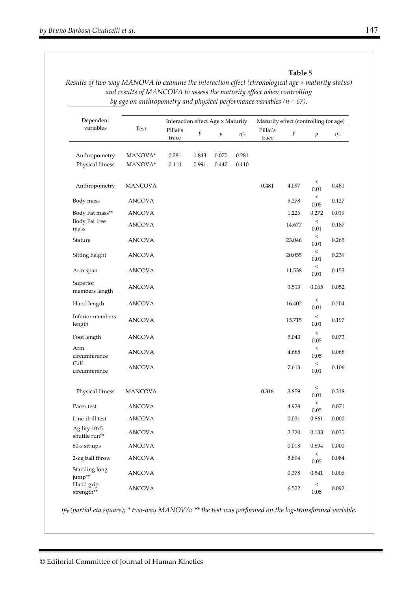#### **Table 5**

*Results of two-way MANOVA to examine the interaction effect (chronological age × maturity status) and results of MANCOVA to assess the maturity effect when controlling by age on anthropometry and physical performance variables (n = 67).* 

| Dependent                         |                                                        | Interaction effect Age x Maturity |                  |                  |                | Maturity effect (controlling for age) |        |                     |            |  |
|-----------------------------------|--------------------------------------------------------|-----------------------------------|------------------|------------------|----------------|---------------------------------------|--------|---------------------|------------|--|
| variables                         | Test                                                   | Pillai's<br>trace                 | $\boldsymbol{F}$ | $\boldsymbol{p}$ | $\eta^2 p$     | Pillai's<br>trace                     | F      | p                   | $\eta^2 p$ |  |
| Anthropometry<br>Physical fitness | $\ensuremath{\mathsf{MANOVA}^{\mathsf{*}}}$<br>MANOVA* | 0.281<br>0.110                    | 1.843<br>0.991   | 0.070<br>0.447   | 0.281<br>0.110 |                                       |        |                     |            |  |
| Anthropometry                     | <b>MANCOVA</b>                                         |                                   |                  |                  |                | 0.481                                 | 4.097  | $\,<\,$<br>0.01     | 0.481      |  |
| Body mass                         | <b>ANCOVA</b>                                          |                                   |                  |                  |                |                                       | 9.278  | $\,<$<br>0.05       | 0.127      |  |
| Body Fat mass**                   | ANCOVA                                                 |                                   |                  |                  |                |                                       | 1.226  | 0.272               | 0.019      |  |
| Body Fat free<br>mass             | <b>ANCOVA</b>                                          |                                   |                  |                  |                |                                       | 14.677 | $\,<$<br>0.01       | 0.187      |  |
| Stature                           | <b>ANCOVA</b>                                          |                                   |                  |                  |                |                                       | 23.046 | $\,<$<br>0.01       | 0.265      |  |
| Sitting height                    | ANCOVA                                                 |                                   |                  |                  |                |                                       | 20.055 | $\,<$<br>0.01       | 0.239      |  |
| Arm span                          | ANCOVA                                                 |                                   |                  |                  |                |                                       | 11.538 | $\,<$<br>0.01       | 0.153      |  |
| Superior<br>members length        | <b>ANCOVA</b>                                          |                                   |                  |                  |                |                                       | 3.513  | 0.065               | 0.052      |  |
| Hand length                       | ANCOVA                                                 |                                   |                  |                  |                |                                       | 16.402 | $\,<\,$<br>0.01     | 0.204      |  |
| Inferior members<br>length        | ANCOVA                                                 |                                   |                  |                  |                |                                       | 15.715 | $\,<$<br>0.01       | 0.197      |  |
| Foot length                       | <b>ANCOVA</b>                                          |                                   |                  |                  |                |                                       | 5.043  | $\,<$<br>0.05       | 0.073      |  |
| Arm<br>circumference              | <b>ANCOVA</b>                                          |                                   |                  |                  |                |                                       | 4.685  | $\,<\,$<br>0.05     | 0.068      |  |
| Calf<br>circumference             | ANCOVA                                                 |                                   |                  |                  |                |                                       | 7.613  | $\,<\,$<br>0.01     | 0.106      |  |
| Physical fitness                  | <b>MANCOVA</b>                                         |                                   |                  |                  |                | 0.318                                 | 3.859  | $\,<$<br>0.01       | 0.318      |  |
| Pacer test                        | ANCOVA                                                 |                                   |                  |                  |                |                                       | 4.928  | $\,<\,$<br>$0.05\,$ | 0.071      |  |
| Line-drill test                   | <b>ANCOVA</b>                                          |                                   |                  |                  |                |                                       | 0.031  | 0.861               | 0.000      |  |
| Agility 10x5<br>shuttle run**     | <b>ANCOVA</b>                                          |                                   |                  |                  |                |                                       | 2.320  | 0.133               | 0.035      |  |
| 60-s sit-ups                      | <b>ANCOVA</b>                                          |                                   |                  |                  |                |                                       | 0.018  | 0.894               | 0.000      |  |
| 2-kg ball throw                   | ANCOVA                                                 |                                   |                  |                  |                |                                       | 5.894  | $\,<\,$<br>$0.05\,$ | 0.084      |  |
| Standing long<br>jump**           | <b>ANCOVA</b>                                          |                                   |                  |                  |                |                                       | 0.378  | 0.541               | 0.006      |  |
| Hand grip<br>strength**           | <b>ANCOVA</b>                                          |                                   |                  |                  |                |                                       | 6.522  | $\,<\,$<br>0.05     | 0.092      |  |

*η2p (partial eta square); \* two-way MANOVA; \*\* the test was performed on the log-transformed variable*.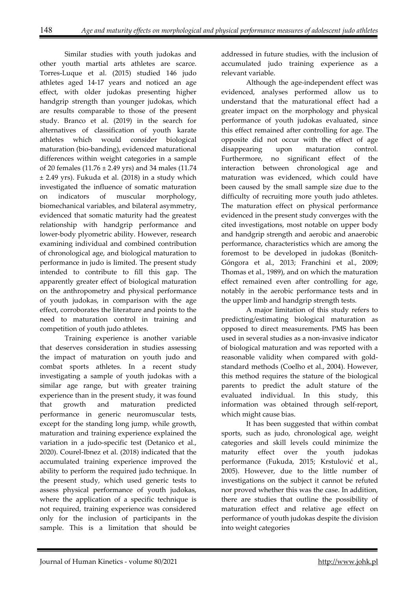Similar studies with youth judokas and other youth martial arts athletes are scarce. Torres-Luque et al. (2015) studied 146 judo athletes aged 14-17 years and noticed an age effect, with older judokas presenting higher handgrip strength than younger judokas, which are results comparable to those of the present study. Branco et al. (2019) in the search for alternatives of classification of youth karate athletes which would consider biological maturation (bio-banding), evidenced maturational differences within weight categories in a sample of 20 females (11.76 ± 2.49 yrs) and 34 males (11.74 ± 2.49 yrs). Fukuda et al. (2018) in a study which investigated the influence of somatic maturation on indicators of muscular morphology, biomechanical variables, and bilateral asymmetry, evidenced that somatic maturity had the greatest relationship with handgrip performance and lower-body plyometric ability. However, research examining individual and combined contribution of chronological age, and biological maturation to performance in judo is limited. The present study intended to contribute to fill this gap. The apparently greater effect of biological maturation on the anthropometry and physical performance of youth judokas, in comparison with the age effect, corroborates the literature and points to the need to maturation control in training and competition of youth judo athletes.

Training experience is another variable that deserves consideration in studies assessing the impact of maturation on youth judo and combat sports athletes. In a recent study investigating a sample of youth judokas with a similar age range, but with greater training experience than in the present study, it was found that growth and maturation predicted performance in generic neuromuscular tests, except for the standing long jump, while growth, maturation and training experience explained the variation in a judo-specific test (Detanico et al., 2020). Courel-Ibnez et al. (2018) indicated that the accumulated training experience improved the ability to perform the required judo technique. In the present study, which used generic tests to assess physical performance of youth judokas, where the application of a specific technique is not required, training experience was considered only for the inclusion of participants in the sample. This is a limitation that should be

addressed in future studies, with the inclusion of accumulated judo training experience as a relevant variable.

Although the age-independent effect was evidenced, analyses performed allow us to understand that the maturational effect had a greater impact on the morphology and physical performance of youth judokas evaluated, since this effect remained after controlling for age. The opposite did not occur with the effect of age disappearing upon maturation control. Furthermore, no significant effect of the interaction between chronological age and maturation was evidenced, which could have been caused by the small sample size due to the difficulty of recruiting more youth judo athletes. The maturation effect on physical performance evidenced in the present study converges with the cited investigations, most notable on upper body and handgrip strength and aerobic and anaerobic performance, characteristics which are among the foremost to be developed in judokas (Bonitch-Góngora et al., 2013; Franchini et al., 2009; Thomas et al., 1989), and on which the maturation effect remained even after controlling for age, notably in the aerobic performance tests and in the upper limb and handgrip strength tests.

A major limitation of this study refers to predicting/estimating biological maturation as opposed to direct measurements. PMS has been used in several studies as a non-invasive indicator of biological maturation and was reported with a reasonable validity when compared with goldstandard methods (Coelho et al., 2004). However, this method requires the stature of the biological parents to predict the adult stature of the evaluated individual. In this study, this information was obtained through self-report, which might cause bias.

It has been suggested that within combat sports, such as judo, chronological age, weight categories and skill levels could minimize the maturity effect over the youth judokas performance (Fukuda, 2015; Krstulović et al., 2005). However, due to the little number of investigations on the subject it cannot be refuted nor proved whether this was the case. In addition, there are studies that outline the possibility of maturation effect and relative age effect on performance of youth judokas despite the division into weight categories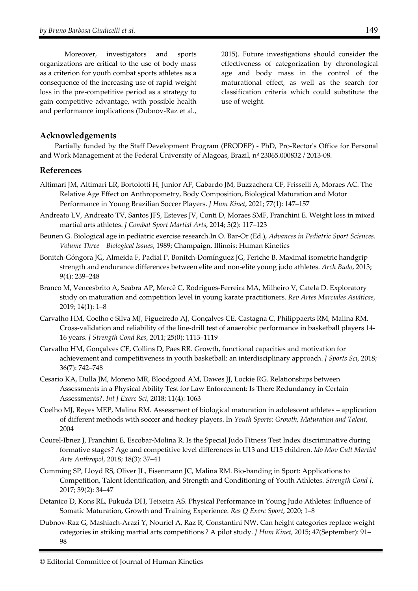Moreover, investigators and sports organizations are critical to the use of body mass as a criterion for youth combat sports athletes as a consequence of the increasing use of rapid weight loss in the pre-competitive period as a strategy to gain competitive advantage, with possible health and performance implications (Dubnov-Raz et al., 2015). Future investigations should consider the effectiveness of categorization by chronological age and body mass in the control of the maturational effect, as well as the search for classification criteria which could substitute the use of weight.

#### **Acknowledgements**

Partially funded by the Staff Development Program (PRODEP) - PhD, Pro-Rector's Office for Personal and Work Management at the Federal University of Alagoas, Brazil, nº 23065.000832 / 2013-08.

#### **References**

- Altimari JM, Altimari LR, Bortolotti H, Junior AF, Gabardo JM, Buzzachera CF, Frisselli A, Moraes AC. The Relative Age Effect on Anthropometry, Body Composition, Biological Maturation and Motor Performance in Young Brazilian Soccer Players. *J Hum Kinet*, 2021; 77(1): 147–157
- Andreato LV, Andreato TV, Santos JFS, Esteves JV, Conti D, Moraes SMF, Franchini E. Weight loss in mixed martial arts athletes. *J Combat Sport Martial Arts*, 2014; 5(2): 117–123
- Beunen G. Biological age in pediatric exercise research.In O. Bar-Or (Ed.), *Advances in Pediatric Sport Sciences. Volume Three – Biological Issues*, 1989; Champaign, Illinois: Human Kinetics
- Bonitch-Góngora JG, Almeida F, Padial P, Bonitch-Domínguez JG, Feriche B. Maximal isometric handgrip strength and endurance differences between elite and non-elite young judo athletes. *Arch Budo*, 2013; 9(4): 239–248
- Branco M, Vencesbrito A, Seabra AP, Mercê C, Rodrigues-Ferreira MA, Milheiro V, Catela D. Exploratory study on maturation and competition level in young karate practitioners. *Rev Artes Marciales Asiáticas*, 2019; 14(1): 1–8
- Carvalho HM, Coelho e Silva MJ, Figueiredo AJ, Gonçalves CE, Castagna C, Philippaerts RM, Malina RM. Cross-validation and reliability of the line-drill test of anaerobic performance in basketball players 14- 16 years. *J Strength Cond Res*, 2011; 25(0): 1113–1119
- Carvalho HM, Gonçalves CE, Collins D, Paes RR. Growth, functional capacities and motivation for achievement and competitiveness in youth basketball: an interdisciplinary approach. *J Sports Sci*, 2018; 36(7): 742–748
- Cesario KA, Dulla JM, Moreno MR, Bloodgood AM, Dawes JJ, Lockie RG. Relationships between Assessments in a Physical Ability Test for Law Enforcement: Is There Redundancy in Certain Assessments?. *Int J Exerc Sci*, 2018; 11(4): 1063
- Coelho MJ, Reyes MEP, Malina RM. Assessment of biological maturation in adolescent athletes application of different methods with soccer and hockey players. In *Youth Sports: Growth, Maturation and Talent*, 2004
- Courel-Ibnez J, Franchini E, Escobar-Molina R. Is the Special Judo Fitness Test Index discriminative during formative stages? Age and competitive level differences in U13 and U15 children. *Ido Mov Cult Martial Arts Anthropol*, 2018; 18(3): 37–41
- Cumming SP, Lloyd RS, Oliver JL, Eisenmann JC, Malina RM. Bio-banding in Sport: Applications to Competition, Talent Identification, and Strength and Conditioning of Youth Athletes. *Strength Cond J*, 2017; 39(2): 34–47
- Detanico D, Kons RL, Fukuda DH, Teixeira AS. Physical Performance in Young Judo Athletes: Influence of Somatic Maturation, Growth and Training Experience. *Res Q Exerc Sport*, 2020; 1–8
- Dubnov-Raz G, Mashiach-Arazi Y, Nouriel A, Raz R, Constantini NW. Can height categories replace weight categories in striking martial arts competitions ? A pilot study. *J Hum Kinet*, 2015; 47(September): 91– 98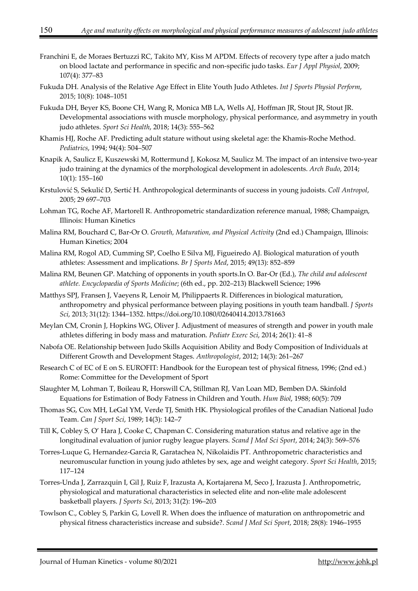- Franchini E, de Moraes Bertuzzi RC, Takito MY, Kiss M APDM. Effects of recovery type after a judo match on blood lactate and performance in specific and non-specific judo tasks. *Eur J Appl Physiol*, 2009; 107(4): 377–83
- Fukuda DH. Analysis of the Relative Age Effect in Elite Youth Judo Athletes. *Int J Sports Physiol Perform*, 2015; 10(8): 1048–1051
- Fukuda DH, Beyer KS, Boone CH, Wang R, Monica MB LA, Wells AJ, Hoffman JR, Stout JR, Stout JR. Developmental associations with muscle morphology, physical performance, and asymmetry in youth judo athletes. *Sport Sci Health*, 2018; 14(3): 555–562
- Khamis HJ, Roche AF. Predicting adult stature without using skeletal age: the Khamis-Roche Method. *Pediatrics*, 1994; 94(4): 504–507
- Knapik A, Saulicz E, Kuszewski M, Rottermund J, Kokosz M, Saulicz M. The impact of an intensive two-year judo training at the dynamics of the morphological development in adolescents. *Arch Budo*, 2014; 10(1): 155–160
- Krstulović S, Sekulić D, Sertić H. Anthropological determinants of success in young judoists. *Coll Antropol*, 2005; 29 697–703
- Lohman TG, Roche AF, Martorell R. Anthropometric standardization reference manual, 1988; Champaign, Illinois: Human Kinetics
- Malina RM, Bouchard C, Bar-Or O. *Growth, Maturation, and Physical Activity* (2nd ed.) Champaign, Illinois: Human Kinetics; 2004
- Malina RM, Rogol AD, Cumming SP, Coelho E Silva MJ, Figueiredo AJ. Biological maturation of youth athletes: Assessment and implications. *Br J Sports Med*, 2015; 49(13): 852–859
- Malina RM, Beunen GP. Matching of opponents in youth sports.In O. Bar-Or (Ed.), *The child and adolescent athlete. Encyclopaedia of Sports Medicine*; (6th ed., pp. 202–213) Blackwell Science; 1996
- Matthys SPJ, Fransen J, Vaeyens R, Lenoir M, Philippaerts R. Differences in biological maturation, anthropometry and physical performance between playing positions in youth team handball. *J Sports Sci*, 2013; 31(12): 1344–1352. https://doi.org/10.1080/02640414.2013.781663
- Meylan CM, Cronin J, Hopkins WG, Oliver J. Adjustment of measures of strength and power in youth male athletes differing in body mass and maturation. *Pediatr Exerc Sci*, 2014; 26(1): 41–8
- Nabofa OE. Relationship between Judo Skills Acquisition Ability and Body Composition of Individuals at Different Growth and Development Stages. *Anthropologist*, 2012; 14(3): 261–267
- Research C of EC of E on S. EUROFIT: Handbook for the European test of physical fitness, 1996; (2nd ed.) Rome: Committee for the Development of Sport
- Slaughter M, Lohman T, Boileau R, Horswill CA, Stillman RJ, Van Loan MD, Bemben DA. Skinfold Equations for Estimation of Body Fatness in Children and Youth. *Hum Biol*, 1988; 60(5): 709
- Thomas SG, Cox MH, LeGal YM, Verde TJ, Smith HK. Physiological profiles of the Canadian National Judo Team. *Can J Sport Sci*, 1989; 14(3): 142–7
- Till K, Cobley S, O' Hara J, Cooke C, Chapman C. Considering maturation status and relative age in the longitudinal evaluation of junior rugby league players. *Scand J Med Sci Sport*, 2014; 24(3): 569–576
- Torres-Luque G, Hernandez-Garcia R, Garatachea N, Nikolaidis PT. Anthropometric characteristics and neuromuscular function in young judo athletes by sex, age and weight category. *Sport Sci Health*, 2015; 117–124
- Torres-Unda J, Zarrazquin I, Gil J, Ruiz F, Irazusta A, Kortajarena M, Seco J, Irazusta J. Anthropometric, physiological and maturational characteristics in selected elite and non-elite male adolescent basketball players. *J Sports Sci*, 2013; 31(2): 196–203
- Towlson C., Cobley S, Parkin G, Lovell R. When does the influence of maturation on anthropometric and physical fitness characteristics increase and subside?. *Scand J Med Sci Sport*, 2018; 28(8): 1946–1955